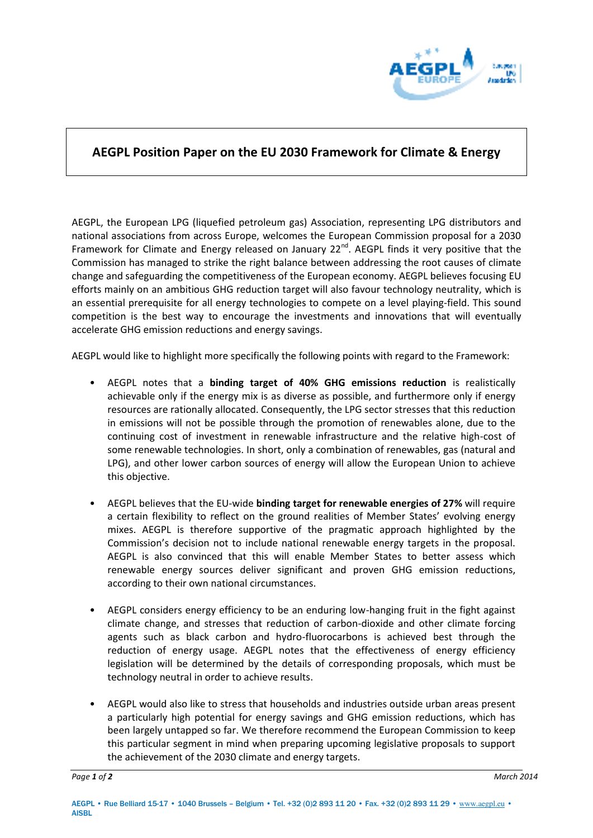

## **AEGPL Position Paper on the EU 2030 Framework for Climate & Energy**

AEGPL, the European LPG (liquefied petroleum gas) Association, representing LPG distributors and national associations from across Europe, welcomes the European Commission proposal for a 2030 Framework for Climate and Energy released on January 22<sup>nd</sup>. AEGPL finds it very positive that the Commission has managed to strike the right balance between addressing the root causes of climate change and safeguarding the competitiveness of the European economy. AEGPL believes focusing EU efforts mainly on an ambitious GHG reduction target will also favour technology neutrality, which is an essential prerequisite for all energy technologies to compete on a level playing-field. This sound competition is the best way to encourage the investments and innovations that will eventually accelerate GHG emission reductions and energy savings.

AEGPL would like to highlight more specifically the following points with regard to the Framework:

- AEGPL notes that a **binding target of 40% GHG emissions reduction** is realistically achievable only if the energy mix is as diverse as possible, and furthermore only if energy resources are rationally allocated. Consequently, the LPG sector stresses that this reduction in emissions will not be possible through the promotion of renewables alone, due to the continuing cost of investment in renewable infrastructure and the relative high-cost of some renewable technologies. In short, only a combination of renewables, gas (natural and LPG), and other lower carbon sources of energy will allow the European Union to achieve this objective.
- AEGPL believes that the EU-wide **binding target for renewable energies of 27%** will require a certain flexibility to reflect on the ground realities of Member States' evolving energy mixes. AEGPL is therefore supportive of the pragmatic approach highlighted by the Commission's decision not to include national renewable energy targets in the proposal. AEGPL is also convinced that this will enable Member States to better assess which renewable energy sources deliver significant and proven GHG emission reductions, according to their own national circumstances.
- AEGPL considers energy efficiency to be an enduring low-hanging fruit in the fight against climate change, and stresses that reduction of carbon-dioxide and other climate forcing agents such as black carbon and hydro-fluorocarbons is achieved best through the reduction of energy usage. AEGPL notes that the effectiveness of energy efficiency legislation will be determined by the details of corresponding proposals, which must be technology neutral in order to achieve results.
- AEGPL would also like to stress that households and industries outside urban areas present a particularly high potential for energy savings and GHG emission reductions, which has been largely untapped so far. We therefore recommend the European Commission to keep this particular segment in mind when preparing upcoming legislative proposals to support the achievement of the 2030 climate and energy targets.